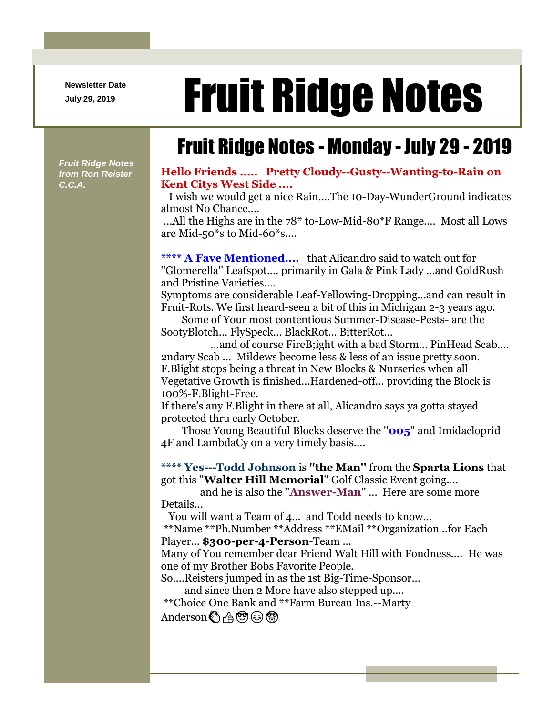**Newsletter Date**

## Newsletter Date **Fruit Ridge Notes**

## Fruit Ridge Notes - Monday - July 29 - 2019

*Fruit Ridge Notes from Ron Reister C.C.A.*

## **Hello Friends ..... Pretty Cloudy--Gusty--Wanting-to-Rain on Kent Citys West Side ....**

I wish we would get a nice Rain....The 10-Day-WunderGround indicates almost No Chance....

...All the Highs are in the 78\* to-Low-Mid-80\*F Range.... Most all Lows are Mid-50\*s to Mid-60\*s....

**\*\*\*\* A Fave Mentioned....** that Alicandro said to watch out for ''Glomerella'' Leafspot.... primarily in Gala & Pink Lady ...and GoldRush and Pristine Varieties....

Symptoms are considerable Leaf-Yellowing-Dropping...and can result in Fruit-Rots. We first heard-seen a bit of this in Michigan 2-3 years ago.

Some of Your most contentious Summer-Disease-Pests- are the SootyBlotch... FlySpeck... BlackRot... BitterRot...

...and of course FireB;ight with a bad Storm... PinHead Scab.... 2ndary Scab ... Mildews become less & less of an issue pretty soon. F.Blight stops being a threat in New Blocks & Nurseries when all Vegetative Growth is finished...Hardened-off... providing the Block is 100%-F.Blight-Free.

If there's any F.Blight in there at all, Alicandro says ya gotta stayed protected thru early October.

Those Young Beautiful Blocks deserve the ''**005**'' and Imidacloprid 4F and LambdaCy on a very timely basis....

## **\*\*\*\* Yes---Todd Johnson** is **''the Man''** from the **Sparta Lions** that got this ''**Walter Hill Memorial**'' Golf Classic Event going....

and he is also the ''**Answer-Man**'' ... Here are some more Details...

You will want a Team of 4... and Todd needs to know...

\*\*Name \*\*Ph.Number \*\*Address \*\*EMail \*\*Organization ..for Each Player... **\$300-per-4-Person**-Team ...

Many of You remember dear Friend Walt Hill with Fondness.... He was one of my Brother Bobs Favorite People.

So....Reisters jumped in as the 1st Big-Time-Sponsor...

and since then 2 More have also stepped up....

\*\*Choice One Bank and \*\*Farm Bureau Ins.--Marty

Anderson & A o O +